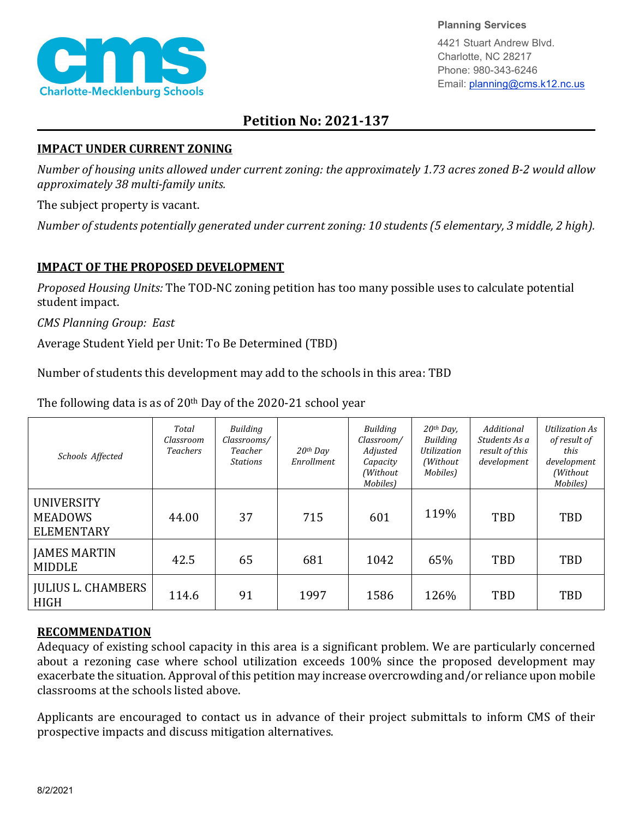

**Planning Services**

4421 Stuart Andrew Blvd. Charlotte, NC 28217 Phone: 980-343-6246 Email: planning@cms.k12.nc.us

## **Petition No: 2021-137**

## **IMPACT UNDER CURRENT ZONING**

*Number of housing units allowed under current zoning: the approximately 1.73 acres zoned B-2 would allow approximately 38 multi-family units.*

The subject property is vacant.

*Number of students potentially generated under current zoning: 10 students (5 elementary, 3 middle, 2 high).*

## **IMPACT OF THE PROPOSED DEVELOPMENT**

*Proposed Housing Units:* The TOD-NC zoning petition has too many possible uses to calculate potential student impact.

*CMS Planning Group: East*

Average Student Yield per Unit: To Be Determined (TBD)

Number of students this development may add to the schools in this area: TBD

The following data is as of 20th Day of the 2020-21 school year

| Schools Affected                                         | Total<br>Classroom<br><b>Teachers</b> | Building<br>Classrooms/<br>Teacher<br><b>Stations</b> | $20$ <sup>th</sup> Day<br>Enrollment | <b>Building</b><br>Classroom/<br>Adjusted<br>Capacity<br>(Without<br>Mobiles) | $20th$ Day,<br>Building<br>Utilization<br>(Without)<br>Mobiles) | Additional<br>Students As a<br>result of this<br>development | <b>Utilization As</b><br>of result of<br>this<br>development<br>(Without<br>Mobiles) |
|----------------------------------------------------------|---------------------------------------|-------------------------------------------------------|--------------------------------------|-------------------------------------------------------------------------------|-----------------------------------------------------------------|--------------------------------------------------------------|--------------------------------------------------------------------------------------|
| <b>UNIVERSITY</b><br><b>MEADOWS</b><br><b>ELEMENTARY</b> | 44.00                                 | 37                                                    | 715                                  | 601                                                                           | 119%                                                            | <b>TBD</b>                                                   | TBD                                                                                  |
| <b>JAMES MARTIN</b><br><b>MIDDLE</b>                     | 42.5                                  | 65                                                    | 681                                  | 1042                                                                          | 65%                                                             | <b>TBD</b>                                                   | TBD                                                                                  |
| <b>JULIUS L. CHAMBERS</b><br><b>HIGH</b>                 | 114.6                                 | 91                                                    | 1997                                 | 1586                                                                          | 126%                                                            | <b>TBD</b>                                                   | TBD                                                                                  |

## **RECOMMENDATION**

Adequacy of existing school capacity in this area is a significant problem. We are particularly concerned about a rezoning case where school utilization exceeds 100% since the proposed development may exacerbate the situation. Approval of this petition may increase overcrowding and/or reliance upon mobile classrooms at the schools listed above.

Applicants are encouraged to contact us in advance of their project submittals to inform CMS of their prospective impacts and discuss mitigation alternatives.